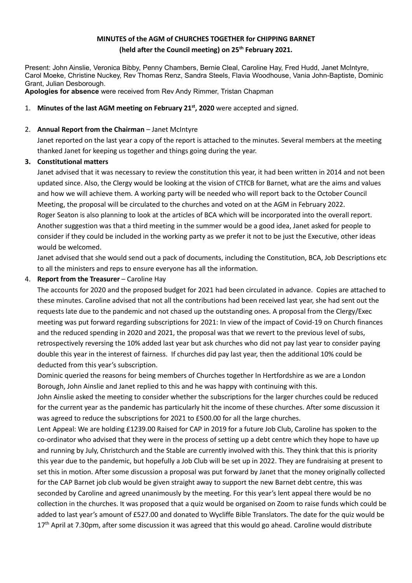# **MINUTES of the AGM of CHURCHES TOGETHER for CHIPPING BARNET (held after the Council meeting) on 25th February 2021.**

Present: John Ainslie, Veronica Bibby, Penny Chambers, Bernie Cleal, Caroline Hay, Fred Hudd, Janet McIntyre, Carol Moeke, Christine Nuckey, Rev Thomas Renz, Sandra Steels, Flavia Woodhouse, Vania John-Baptiste, Dominic Grant, Julian Desborough.

**Apologies for absence** were received from Rev Andy Rimmer, Tristan Chapman

### 1. **Minutes of the last AGM meeting on February 21 st, 2020** were accepted and signed.

### 2. **Annual Report from the Chairman** – Janet McIntyre

Janet reported on the last year a copy of the report is attached to the minutes. Several members at the meeting thanked Janet for keeping us together and things going during the year.

#### **3. Constitutional matters**

Janet advised that it was necessary to review the constitution this year, it had been written in 2014 and not been updated since. Also, the Clergy would be looking at the vision of CTfCB for Barnet, what are the aims and values and how we will achieve them. A working party will be needed who will report back to the October Council Meeting, the proposal will be circulated to the churches and voted on at the AGM in February 2022. Roger Seaton is also planning to look at the articles of BCA which will be incorporated into the overall report. Another suggestion was that a third meeting in the summer would be a good idea, Janet asked for people to consider if they could be included in the working party as we prefer it not to be just the Executive, other ideas would be welcomed.

Janet advised that she would send out a pack of documents, including the Constitution, BCA, Job Descriptions etc to all the ministers and reps to ensure everyone has all the information.

#### 4. **Report from the Treasurer** – Caroline Hay

The accounts for 2020 and the proposed budget for 2021 had been circulated in advance. Copies are attached to these minutes. Caroline advised that not all the contributions had been received last year, she had sent out the requests late due to the pandemic and not chased up the outstanding ones. A proposal from the Clergy/Exec meeting was put forward regarding subscriptions for 2021: In view of the impact of Covid-19 on Church finances and the reduced spending in 2020 and 2021, the proposal was that we revert to the previous level of subs, retrospectively reversing the 10% added last year but ask churches who did not pay last year to consider paying double this year in the interest of fairness. If churches did pay last year, then the additional 10% could be deducted from this year's subscription.

Dominic queried the reasons for being members of Churches together In Hertfordshire as we are a London Borough, John Ainslie and Janet replied to this and he was happy with continuing with this.

John Ainslie asked the meeting to consider whether the subscriptions for the larger churches could be reduced for the current year as the pandemic has particularly hit the income of these churches. After some discussion it was agreed to reduce the subscriptions for 2021 to £500.00 for all the large churches.

Lent Appeal: We are holding £1239.00 Raised for CAP in 2019 for a future Job Club, Caroline has spoken to the co-ordinator who advised that they were in the process of setting up a debt centre which they hope to have up and running by July, Christchurch and the Stable are currently involved with this. They think that this is priority this year due to the pandemic, but hopefully a Job Club will be set up in 2022. They are fundraising at present to set this in motion. After some discussion a proposal was put forward by Janet that the money originally collected for the CAP Barnet job club would be given straight away to support the new Barnet debt centre, this was seconded by Caroline and agreed unanimously by the meeting. For this year's lent appeal there would be no collection in the churches. It was proposed that a quiz would be organised on Zoom to raise funds which could be added to last year's amount of £527.00 and donated to Wycliffe Bible Translators. The date for the quiz would be 17<sup>th</sup> April at 7.30pm, after some discussion it was agreed that this would go ahead. Caroline would distribute